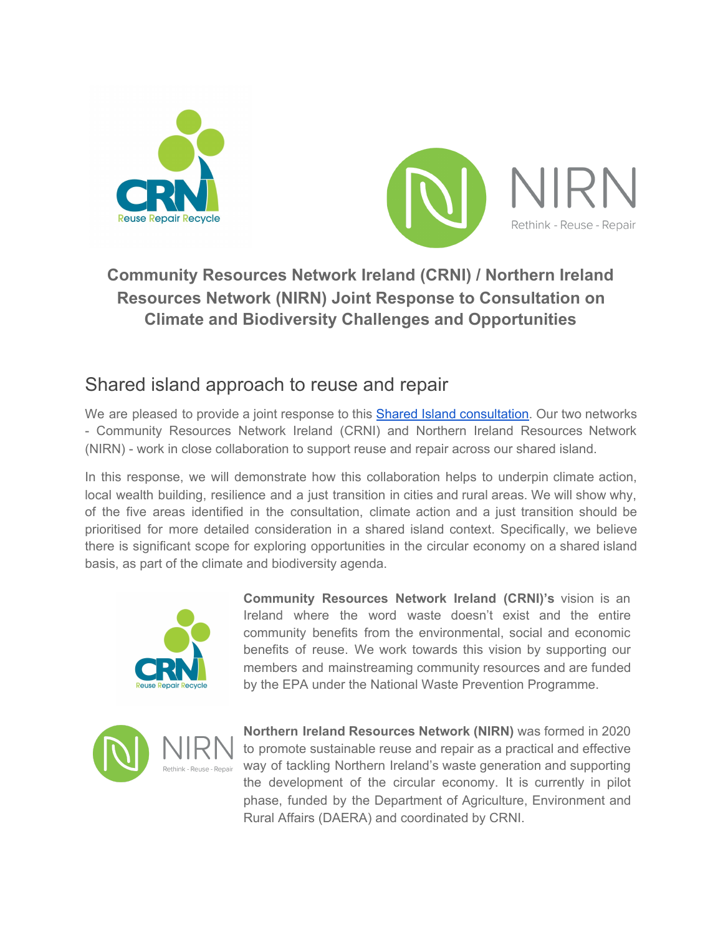



## **Community Resources Network Ireland (CRNI) / Northern Ireland Resources Network (NIRN) Joint Response to Consultation on Climate and Biodiversity Challenges and Opportunities**

# Shared island approach to reuse and repair

We are pleased to provide a joint response to this Shared Island [consultation](https://www.nesc.ie/news-events/news/nesc-publishes-secretariat-paper-no-21-shared-island-consultation-climate-and-biodiversity-challenges-and-opportunities/). Our two networks - Community Resources Network Ireland (CRNI) and Northern Ireland Resources Network (NIRN) - work in close collaboration to support reuse and repair across our shared island.

In this response, we will demonstrate how this collaboration helps to underpin climate action, local wealth building, resilience and a just transition in cities and rural areas. We will show why, of the five areas identified in the consultation, climate action and a just transition should be prioritised for more detailed consideration in a shared island context. Specifically, we believe there is significant scope for exploring opportunities in the circular economy on a shared island basis, as part of the climate and biodiversity agenda.



**Community Resources Network Ireland (CRNI)'s** vision is an Ireland where the word waste doesn't exist and the entire community benefits from the environmental, social and economic benefits of reuse. We work towards this vision by supporting our members and mainstreaming community resources and are funded by the EPA under the National Waste Prevention Programme.



**Northern Ireland Resources Network (NIRN)** was formed in 2020 to promote sustainable reuse and repair as a practical and effective way of tackling Northern Ireland's waste generation and supporting the development of the circular economy. It is currently in pilot phase, funded by the Department of Agriculture, Environment and Rural Affairs (DAERA) and coordinated by CRNI.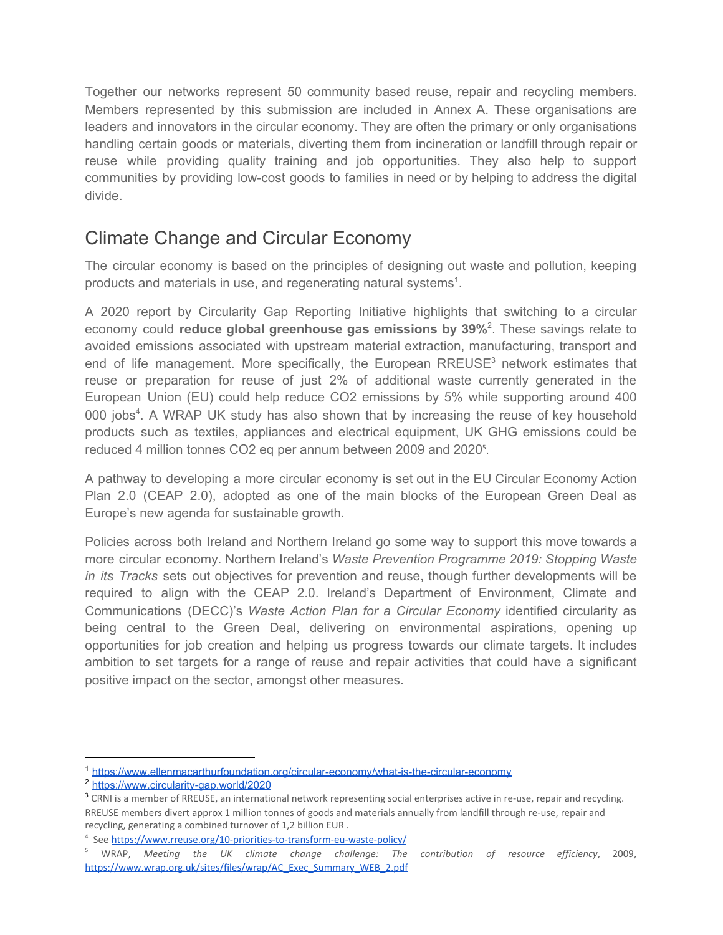Together our networks represent 50 community based reuse, repair and recycling members. Members represented by this submission are included in Annex A. These organisations are leaders and innovators in the circular economy. They are often the primary or only organisations handling certain goods or materials, diverting them from incineration or landfill through repair or reuse while providing quality training and job opportunities. They also help to support communities by providing low-cost goods to families in need or by helping to address the digital divide.

# Climate Change and Circular Economy

The circular economy is based on the principles of designing out waste and pollution, keeping products and materials in use, and regenerating natural systems<sup>1</sup>.

A 2020 report by Circularity Gap Reporting Initiative highlights that switching to a circular economy could **reduce global greenhouse gas emissions by 39%**<sup>2</sup> . These savings relate to avoided emissions associated with upstream material extraction, manufacturing, transport and end of life management. More specifically, the European [RREUSE](https://www.rreuse.org/)<sup>3</sup> network estimates that reuse or preparation for reuse of just 2% of additional waste currently generated in the European Union (EU) could help reduce CO2 emissions by 5% while supporting around 400 000 jobs<sup>4</sup>. A WRAP UK study has also shown that by increasing the reuse of key household products such as textiles, appliances and electrical equipment, UK GHG emissions could be reduced 4 million tonnes CO2 eq per annum between 2009 and 2020 5 .

A pathway to developing a more circular economy is set out in the EU Circular Economy Action Plan 2.0 (CEAP 2.0), adopted as one of the main blocks of the European Green Deal as Europe's new agenda for sustainable growth.

Policies across both Ireland and Northern Ireland go some way to support this move towards a more circular economy. Northern Ireland's *Waste Prevention Programme 2019: Stopping Waste in its Tracks* sets out objectives for prevention and reuse, though further developments will be required to align with the CEAP 2.0. Ireland's Department of Environment, Climate and Communications (DECC)'s *Waste Action Plan for a Circular [Economy](https://www.gov.ie/en/publication/4221c-waste-action-plan-for-a-circular-economy/)* identified circularity as being central to the Green Deal, delivering on environmental aspirations, opening up opportunities for job creation and helping us progress towards our climate targets. It includes ambition to set targets for a range of reuse and repair activities that could have a significant positive impact on the sector, amongst other measures.

<sup>1</sup> <https://www.ellenmacarthurfoundation.org/circular-economy/what-is-the-circular-economy>

<sup>2</sup> <https://www.circularity-gap.world/2020>

<sup>&</sup>lt;sup>3</sup> CRNI is a member of RREUSE, an international network representing social enterprises active in re-use, repair and recycling. RREUSE members divert approx 1 million tonnes of goods and materials annually from landfill through re-use, repair and recycling, generating a combined turnover of 1,2 billion EUR .

<sup>4</sup> See <https://www.rreuse.org/10-priorities-to-transform-eu-waste-policy/>

<sup>5</sup> WRAP, *Meeting the UK climate change challenge: The contribution of resource efficiency*, 2009, [https://www.wrap.org.uk/sites/files/wrap/AC\\_Exec\\_Summary\\_WEB\\_2.pdf](https://www.wrap.org.uk/sites/files/wrap/AC_Exec_Summary_WEB_2.pdf)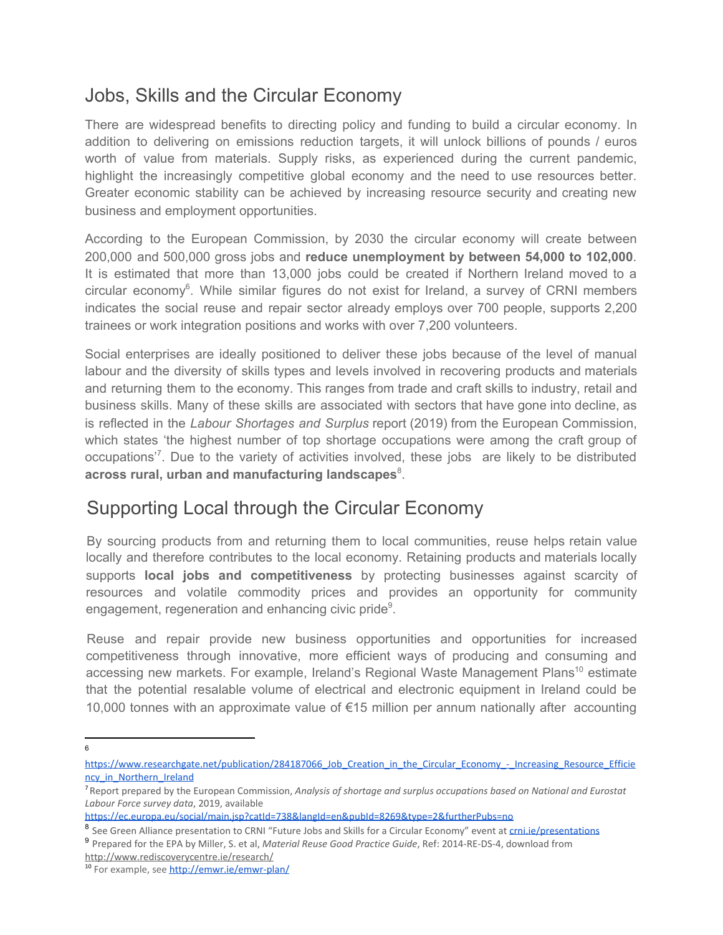## Jobs, Skills and the Circular Economy

There are widespread benefits to directing policy and funding to build a circular economy. In addition to delivering on emissions reduction targets, it will unlock billions of pounds / euros worth of value from materials. Supply risks, as experienced during the current pandemic, highlight the increasingly competitive global economy and the need to use resources better. Greater economic stability can be achieved by increasing resource security and creating new business and employment opportunities.

According to the European Commission, by 2030 the circular economy will create between 200,000 and 500,000 gross jobs and **reduce unemployment by between 54,000 to 102,000**. It is estimated that more than 13,000 jobs could be created if Northern Ireland moved to a circular economy<sup>6</sup>. While similar figures do not exist for Ireland, a survey of CRNI members indicates the social reuse and repair sector already employs over 700 people, supports 2,200 trainees or work integration positions and works with over 7,200 volunteers.

Social enterprises are ideally positioned to deliver these jobs because of the level of manual labour and the diversity of skills types and levels involved in recovering products and materials and returning them to the economy. This ranges from trade and craft skills to industry, retail and business skills. Many of these skills are associated with sectors that have gone into decline, as is reflected in the *Labour Shortages and Surplus* report (2019) from the European Commission, which states 'the highest number of top shortage occupations were among the craft group of occupations<sup>'7</sup>. Due to the variety of activities involved, these jobs are likely to be distributed **across rural, urban and manufacturing landscapes** 8 .

## Supporting Local through the Circular Economy

By sourcing products from and returning them to local communities, reuse helps retain value locally and therefore contributes to the local economy. Retaining products and materials locally supports **local jobs and competitiveness** by protecting businesses against scarcity of resources and volatile commodity prices and provides an opportunity for community engagement, regeneration and enhancing civic pride<sup>9</sup>.

Reuse and repair provide new business opportunities and opportunities for increased competitiveness through innovative, more efficient ways of producing and consuming and accessing new markets. For example, Ireland's Regional Waste Management Plans<sup>10</sup> estimate that the potential resalable volume of electrical and electronic equipment in Ireland could be 10,000 tonnes with an approximate value of €15 million per annum nationally after accounting

6

[https://www.researchgate.net/publication/284187066\\_Job\\_Creation\\_in\\_the\\_Circular\\_Economy\\_-\\_Increasing\\_Resource\\_Efficie](https://www.researchgate.net/publication/284187066_Job_Creation_in_the_Circular_Economy_-_Increasing_Resource_Efficiency_in_Northern_Ireland) [ncy\\_in\\_Northern\\_Ireland](https://www.researchgate.net/publication/284187066_Job_Creation_in_the_Circular_Economy_-_Increasing_Resource_Efficiency_in_Northern_Ireland)

<sup>7</sup> Report prepared by the European Commission, *Analysis of shortage and surplus occupations based on National and Eurostat Labour Force survey data*, 2019, available

<https://ec.europa.eu/social/main.jsp?catId=738&langId=en&pubId=8269&type=2&furtherPubs=no>

<sup>8</sup> See Green Alliance presentation to CRNI "Future Jobs and Skills for a Circular Economy" event at [crni.ie/presentations](http://crni.ie/presentations)

<sup>9</sup> Prepared for the EPA by Miller, S. et al, *Material Reuse Good Practice Guide*, Ref: 2014-RE-DS-4, download from

http://www.rediscoverycentre.ie/research/

<sup>&</sup>lt;sup>10</sup> For example, see<http://emwr.ie/emwr-plan/>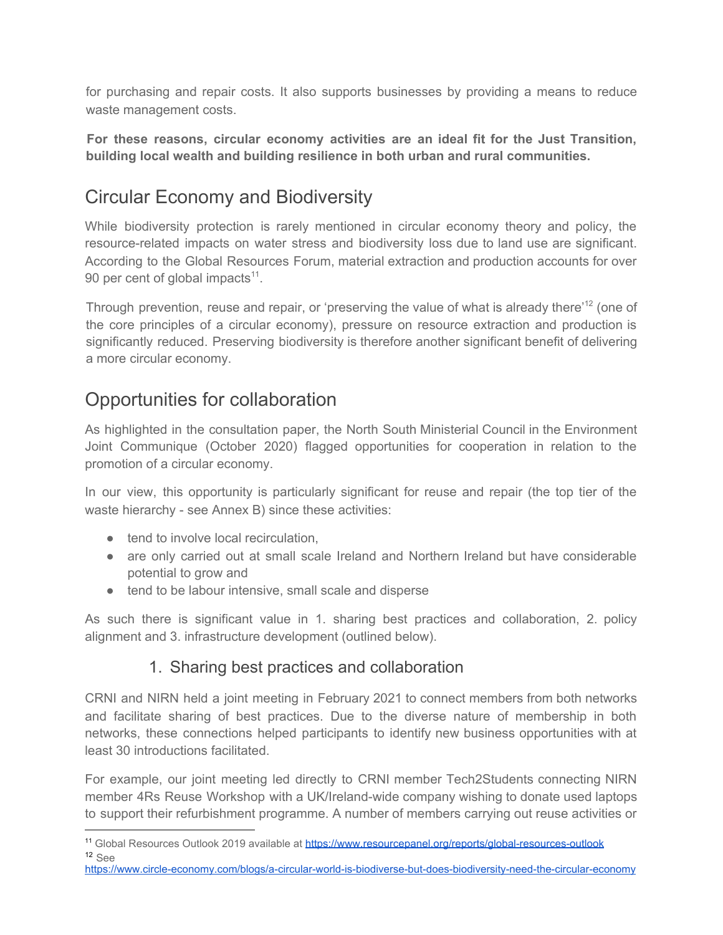for purchasing and repair costs. It also supports businesses by providing a means to reduce waste management costs.

**For these reasons, circular economy activities are an ideal fit for the Just Transition, building local wealth and building resilience in both urban and rural communities.**

# Circular Economy and Biodiversity

While biodiversity protection is rarely mentioned in circular economy theory and policy, the resource-related impacts on water stress and biodiversity loss due to land use are significant. According to the Global Resources Forum, material extraction and production accounts for over 90 per cent of global impacts $11$ .

Through prevention, reuse and repair, or 'preserving the value of what is already there<sup>12</sup> (one of the core principles of a circular economy), pressure on resource extraction and production is significantly reduced. Preserving biodiversity is therefore another significant benefit of delivering a more circular economy.

# Opportunities for collaboration

As highlighted in the consultation paper, the North South Ministerial Council in the Environment Joint Communique (October 2020) flagged opportunities for cooperation in relation to the promotion of a circular economy.

In our view, this opportunity is particularly significant for reuse and repair (the top tier of the waste hierarchy - see Annex B) since these activities:

- tend to involve local recirculation.
- are only carried out at small scale Ireland and Northern Ireland but have considerable potential to grow and
- tend to be labour intensive, small scale and disperse

As such there is significant value in 1. sharing best practices and collaboration, 2. policy alignment and 3. infrastructure development (outlined below).

### 1. Sharing best practices and collaboration

CRNI and NIRN held a joint meeting in February 2021 to connect members from both networks and facilitate sharing of best practices. Due to the diverse nature of membership in both networks, these connections helped participants to identify new business opportunities with at least 30 introductions facilitated.

For example, our joint meeting led directly to CRNI member Tech2Students connecting NIRN member 4Rs Reuse Workshop with a UK/Ireland-wide company wishing to donate used laptops to support their refurbishment programme. A number of members carrying out reuse activities or

<https://www.circle-economy.com/blogs/a-circular-world-is-biodiverse-but-does-biodiversity-need-the-circular-economy>

<sup>&</sup>lt;sup>11</sup> Global Resources Outlook 2019 available at <https://www.resourcepanel.org/reports/global-resources-outlook> <sup>12</sup> See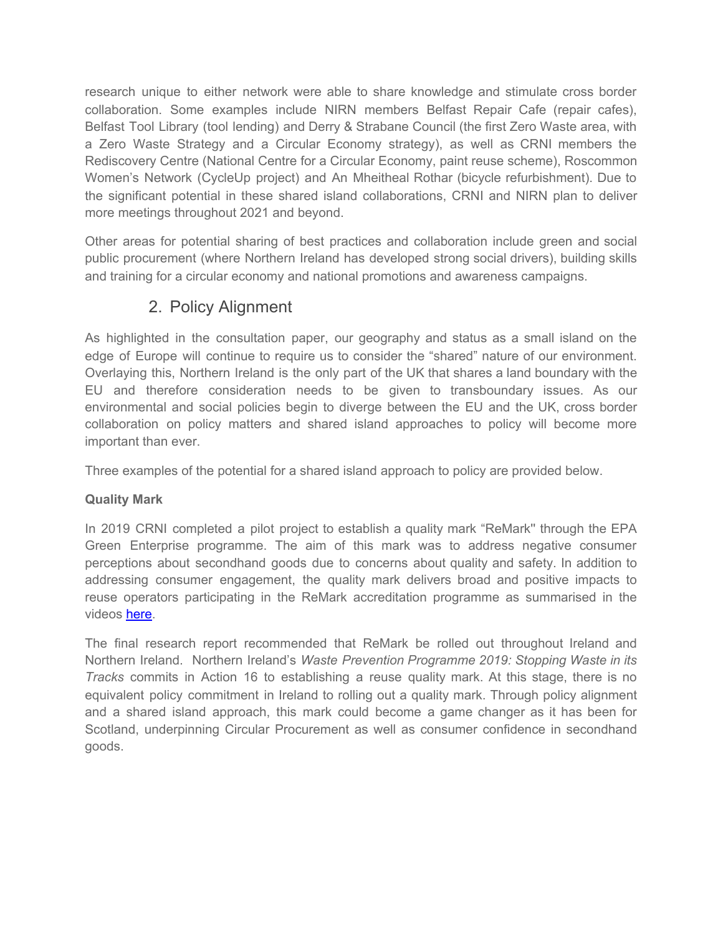research unique to either network were able to share knowledge and stimulate cross border collaboration. Some examples include NIRN members Belfast Repair Cafe (repair cafes), Belfast Tool Library (tool lending) and Derry & Strabane Council (the first Zero Waste area, with a Zero Waste Strategy and a Circular Economy strategy), as well as CRNI members the Rediscovery Centre (National Centre for a Circular Economy, paint reuse scheme), Roscommon Women's Network (CycleUp project) and An Mheitheal Rothar (bicycle refurbishment). Due to the significant potential in these shared island collaborations, CRNI and NIRN plan to deliver more meetings throughout 2021 and beyond.

Other areas for potential sharing of best practices and collaboration include green and social public procurement (where Northern Ireland has developed strong social drivers), building skills and training for a circular economy and national promotions and awareness campaigns.

## 2. Policy Alignment

As highlighted in the consultation paper, our geography and status as a small island on the edge of Europe will continue to require us to consider the "shared" nature of our environment. Overlaying this, Northern Ireland is the only part of the UK that shares a land boundary with the EU and therefore consideration needs to be given to transboundary issues. As our environmental and social policies begin to diverge between the EU and the UK, cross border collaboration on policy matters and shared island approaches to policy will become more important than ever.

Three examples of the potential for a shared island approach to policy are provided below.

### **Quality Mark**

In 2019 CRNI completed a pilot project to establish a quality mark ["ReMark](https://www.crni.ie/re-mark/)'' through the EPA Green Enterprise programme. The aim of this mark was to address negative consumer perceptions about secondhand goods due to concerns about quality and safety. In addition to addressing consumer engagement, the quality mark delivers broad and positive impacts to reuse operators participating in the ReMark accreditation programme as summarised in the videos [here.](https://www.crni.ie/re-mark/)

The final research report recommended that ReMark be rolled out throughout Ireland and Northern Ireland. Northern Ireland's *Waste Prevention Programme 2019: Stopping Waste in its Tracks* commits in Action 16 to establishing a reuse quality mark. At this stage, there is no equivalent policy commitment in Ireland to rolling out a quality mark. Through policy alignment and a shared island approach, this mark could become a game changer as it has been for Scotland, underpinning Circular Procurement as well as consumer confidence in secondhand goods.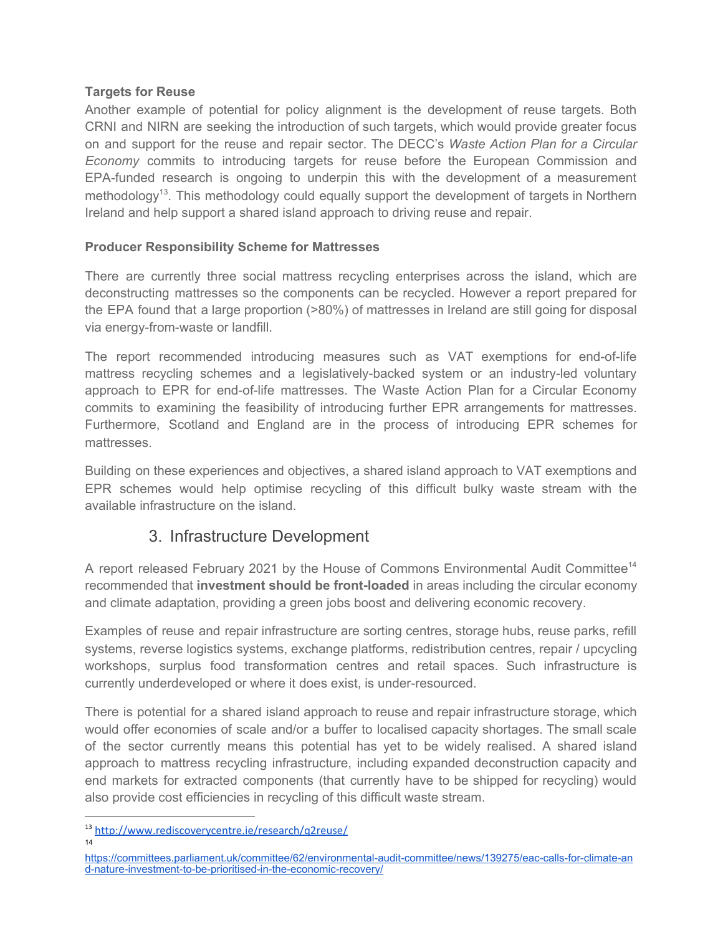#### **Targets for Reuse**

Another example of potential for policy alignment is the development of reuse targets. Both CRNI and NIRN are seeking the introduction of such targets, which would provide greater focus on and support for the reuse and repair sector. The DECC's *Waste Action Plan for a Circular Economy* commits to introducing targets for reuse before the European Commission and EPA-funded research is ongoing to underpin this with the development of a measurement methodology<sup>13</sup>. This methodology could equally support the development of targets in Northern Ireland and help support a shared island approach to driving reuse and repair.

#### **Producer Responsibility Scheme for Mattresses**

There are currently three social mattress recycling enterprises across the island, which are deconstructing mattresses so the components can be recycled. However a report prepared for the EPA found that a large proportion (>80%) of mattresses in Ireland are still going for disposal via energy-from-waste or landfill.

The report recommended introducing measures such as VAT exemptions for end-of-life mattress recycling schemes and a legislatively-backed system or an industry-led voluntary approach to EPR for end-of-life mattresses. The Waste Action Plan for a Circular Economy commits to examining the feasibility of introducing further EPR arrangements for mattresses. Furthermore, Scotland and England are in the process of introducing EPR schemes for mattresses.

Building on these experiences and objectives, a shared island approach to VAT exemptions and EPR schemes would help optimise recycling of this difficult bulky waste stream with the available infrastructure on the island.

### 3. Infrastructure Development

A report released February 2021 by the House of Commons Environmental Audit Committee<sup>14</sup> recommended that **investment should be front-loaded** in areas including the circular economy and climate adaptation, providing a green jobs boost and delivering economic recovery.

Examples of reuse and repair infrastructure are sorting centres, storage hubs, reuse parks, refill systems, reverse logistics systems, exchange platforms, redistribution centres, repair / upcycling workshops, surplus food transformation centres and retail spaces. Such infrastructure is currently underdeveloped or where it does exist, is under-resourced.

There is potential for a shared island approach to reuse and repair infrastructure storage, which would offer economies of scale and/or a buffer to localised capacity shortages. The small scale of the sector currently means this potential has yet to be widely realised. A shared island approach to mattress recycling infrastructure, including expanded deconstruction capacity and end markets for extracted components (that currently have to be shipped for recycling) would also provide cost efficiencies in recycling of this difficult waste stream.

<sup>13</sup> <http://www.rediscoverycentre.ie/research/q2reuse/> 14

[https://committees.parliament.uk/committee/62/environmental-audit-committee/news/139275/eac-calls-for-climate-an](https://committees.parliament.uk/committee/62/environmental-audit-committee/news/139275/eac-calls-for-climate-and-nature-investment-to-be-prioritised-in-the-economic-recovery/) [d-nature-investment-to-be-prioritised-in-the-economic-recovery/](https://committees.parliament.uk/committee/62/environmental-audit-committee/news/139275/eac-calls-for-climate-and-nature-investment-to-be-prioritised-in-the-economic-recovery/)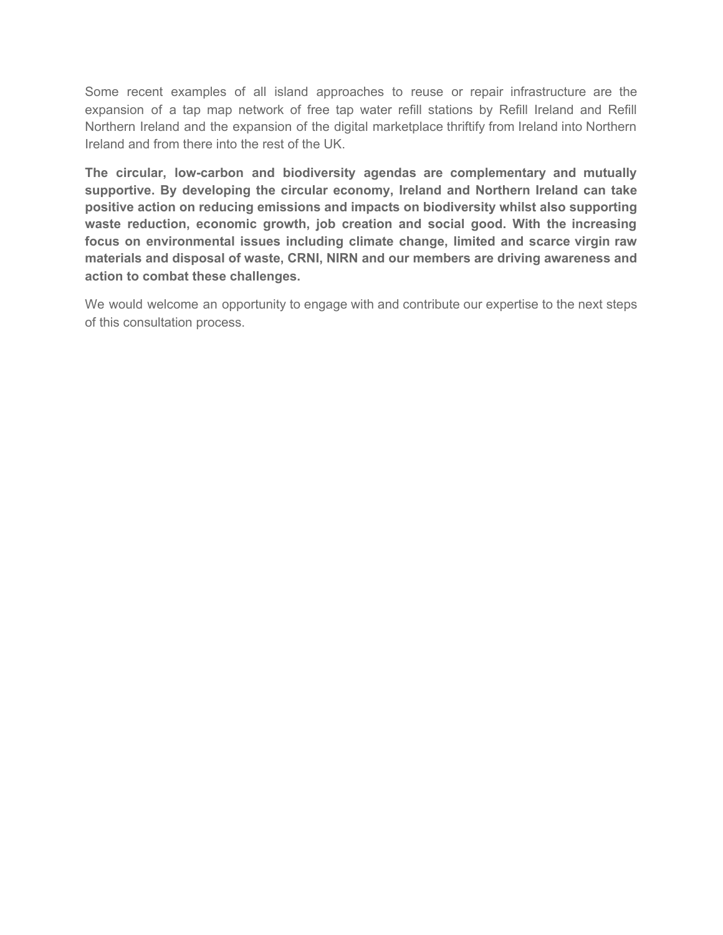Some recent examples of all island approaches to reuse or repair infrastructure are the expansion of a tap map network of free tap water refill stations by Refill Ireland and Refill Northern Ireland and the expansion of the digital marketplace thriftify from Ireland into Northern Ireland and from there into the rest of the UK.

**The circular, low-carbon and biodiversity agendas are complementary and mutually supportive. By developing the circular economy, Ireland and Northern Ireland can take positive action on reducing emissions and impacts on biodiversity whilst also supporting waste reduction, economic growth, job creation and social good. With the increasing focus on environmental issues including climate change, limited and scarce virgin raw materials and disposal of waste, CRNI, NIRN and our members are driving awareness and action to combat these challenges.**

We would welcome an opportunity to engage with and contribute our expertise to the next steps of this consultation process.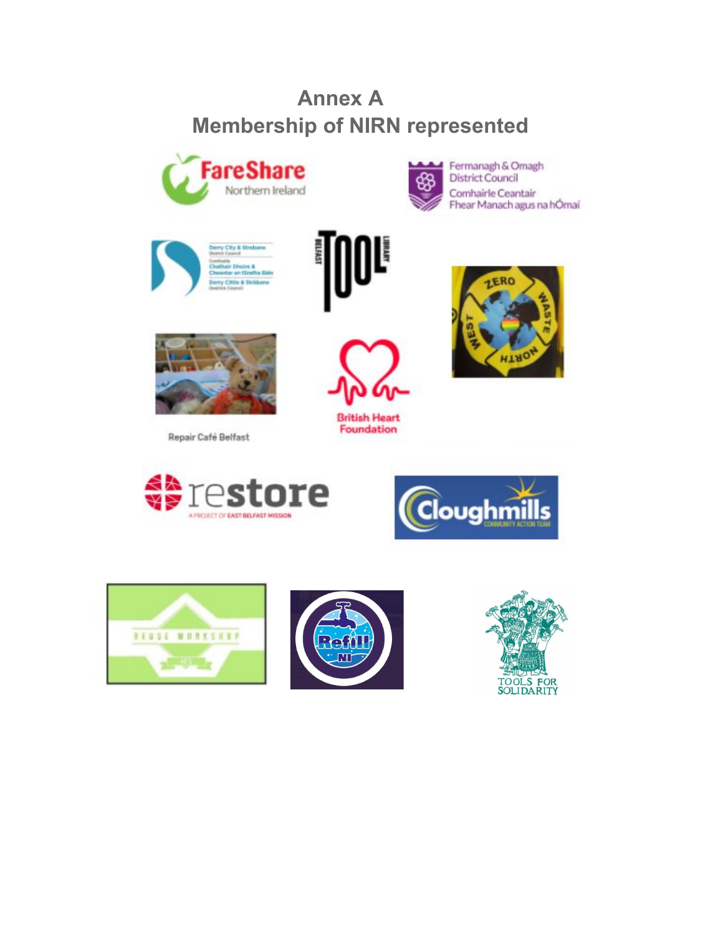# **Annex A Membership of NIRN represented**





Fermanagh & Omagh **District Council** Comhairle Ceantair Fhear Manach agus na hÓmaí







Repair Café Belfast





**British Heart** Foundation











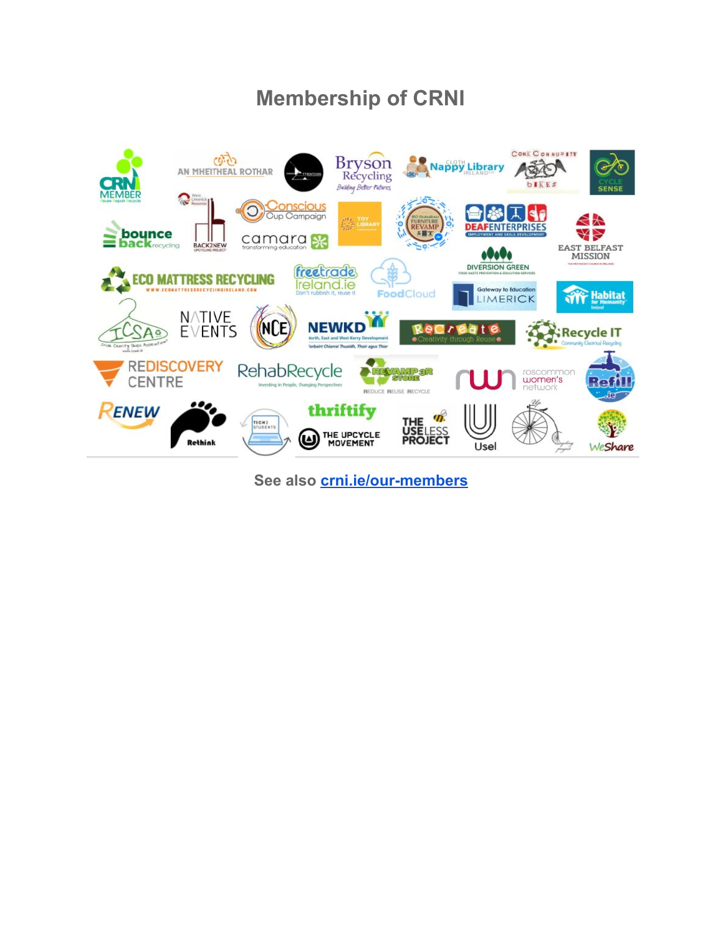# **Membership of CRNI**



**See also [crni.ie/our-members](http://crni.ie/our-members)**